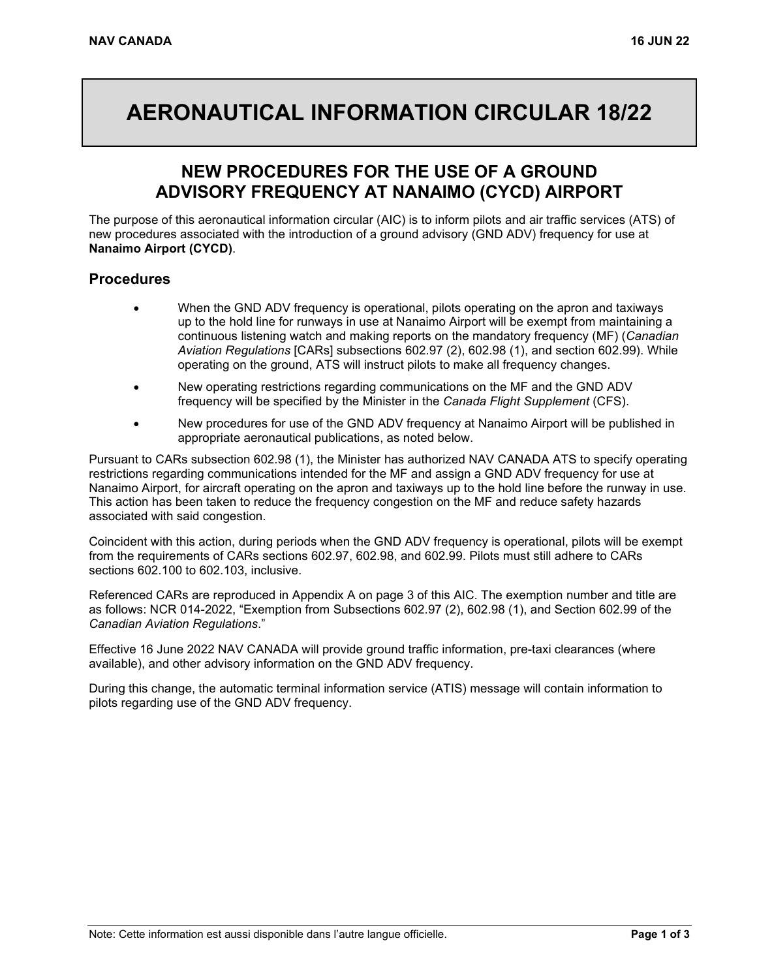# **AERONAUTICAL INFORMATION CIRCULAR 18/22**

## **NEW PROCEDURES FOR THE USE OF A GROUND ADVISORY FREQUENCY AT NANAIMO (CYCD) AIRPORT**

The purpose of this aeronautical information circular (AIC) is to inform pilots and air traffic services (ATS) of new procedures associated with the introduction of a ground advisory (GND ADV) frequency for use at **Nanaimo Airport (CYCD)**.

### **Procedures**

- When the GND ADV frequency is operational, pilots operating on the apron and taxiways up to the hold line for runways in use at Nanaimo Airport will be exempt from maintaining a continuous listening watch and making reports on the mandatory frequency (MF) (*Canadian Aviation Regulations* [CARs] subsections 602.97 (2), 602.98 (1), and section 602.99). While operating on the ground, ATS will instruct pilots to make all frequency changes.
- New operating restrictions regarding communications on the MF and the GND ADV frequency will be specified by the Minister in the *Canada Flight Supplement* (CFS).
- New procedures for use of the GND ADV frequency at Nanaimo Airport will be published in appropriate aeronautical publications, as noted below.

Pursuant to CARs subsection 602.98 (1), the Minister has authorized NAV CANADA ATS to specify operating restrictions regarding communications intended for the MF and assign a GND ADV frequency for use at Nanaimo Airport, for aircraft operating on the apron and taxiways up to the hold line before the runway in use. This action has been taken to reduce the frequency congestion on the MF and reduce safety hazards associated with said congestion.

Coincident with this action, during periods when the GND ADV frequency is operational, pilots will be exempt from the requirements of CARs sections 602.97, 602.98, and 602.99. Pilots must still adhere to CARs sections 602.100 to 602.103, inclusive.

Referenced CARs are reproduced in Appendix A on page 3 of this AIC. The exemption number and title are as follows: NCR 014-2022, "Exemption from Subsections 602.97 (2), 602.98 (1), and Section 602.99 of the *Canadian Aviation Regulations*."

Effective 16 June 2022 NAV CANADA will provide ground traffic information, pre-taxi clearances (where available), and other advisory information on the GND ADV frequency.

During this change, the automatic terminal information service (ATIS) message will contain information to pilots regarding use of the GND ADV frequency.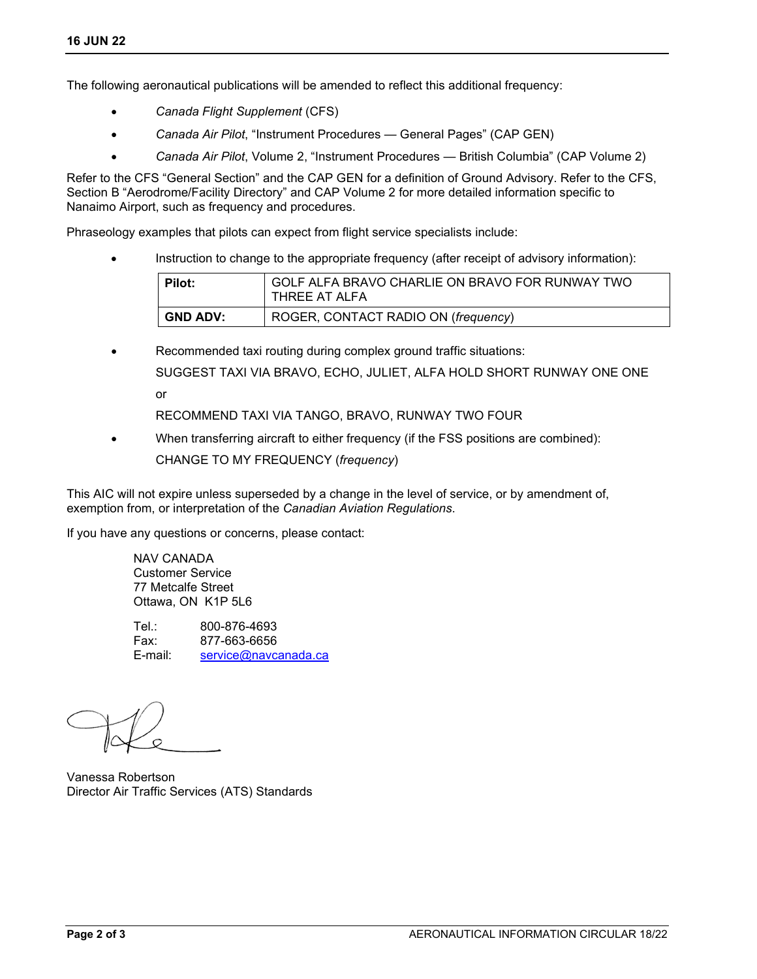The following aeronautical publications will be amended to reflect this additional frequency:

- *Canada Flight Supplement* (CFS)
- *Canada Air Pilot*, "Instrument Procedures General Pages" (CAP GEN)
- *Canada Air Pilot*, Volume 2, "Instrument Procedures British Columbia" (CAP Volume 2)

Refer to the CFS "General Section" and the CAP GEN for a definition of Ground Advisory. Refer to the CFS, Section B "Aerodrome/Facility Directory" and CAP Volume 2 for more detailed information specific to Nanaimo Airport, such as frequency and procedures.

Phraseology examples that pilots can expect from flight service specialists include:

• Instruction to change to the appropriate frequency (after receipt of advisory information):

| Pilot:          | GOLF ALFA BRAVO CHARLIE ON BRAVO FOR RUNWAY TWO<br>THREE AT ALFA |
|-----------------|------------------------------------------------------------------|
| <b>GND ADV:</b> | ROGER, CONTACT RADIO ON (frequency)                              |

Recommended taxi routing during complex ground traffic situations: SUGGEST TAXI VIA BRAVO, ECHO, JULIET, ALFA HOLD SHORT RUNWAY ONE ONE or

RECOMMEND TAXI VIA TANGO, BRAVO, RUNWAY TWO FOUR

• When transferring aircraft to either frequency (if the FSS positions are combined): CHANGE TO MY FREQUENCY (*frequency*)

This AIC will not expire unless superseded by a change in the level of service, or by amendment of, exemption from, or interpretation of the *Canadian Aviation Regulations*.

If you have any questions or concerns, please contact:

NAV CANADA Customer Service 77 Metcalfe Street Ottawa, ON K1P 5L6

Tel.: 800-876-4693 Fax: 877-663-6656<br>E-mail: service@navc service@navcanada.ca

Vanessa Robertson Director Air Traffic Services (ATS) Standards